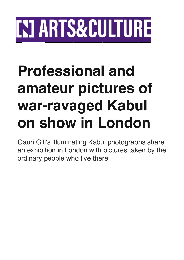## **INI ARTS&CULTURE**

## **Professional and amateur pictures of war-ravaged Kabul on show in London**

Gauri Gill's illuminating Kabul photographs share an exhibition in London with pictures taken by the ordinary people who live there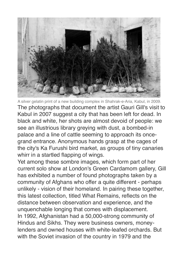

A silver gelatin print of a new building complex in Shahrak-e-Aria, Kabul, in 2009. The photographs that document the artist Gauri Gill's visit to Kabul in 2007 suggest a city that has been left for dead. In black and white, her shots are almost devoid of people: we see an illustrious library greying with dust, a bombed-in palace and a line of cattle seeming to approach its oncegrand entrance. Anonymous hands grasp at the cages of the city's Ka Furushi bird market, as groups of tiny canaries whirr in a startled flapping of wings.

Yet among these sombre images, which form part of her current solo show at London's Green Cardamom gallery, Gill has exhibited a number of found photographs taken by a community of Afghans who offer a quite different - perhaps unlikely - vision of their homeland. In pairing these together, this latest collection, titled What Remains, reflects on the distance between observation and experience, and the unquenchable longing that comes with displacement. In 1992, Afghanistan had a 50,000-strong community of Hindus and Sikhs. They were business owners, moneylenders and owned houses with white-leafed orchards. But with the Soviet invasion of the country in 1979 and the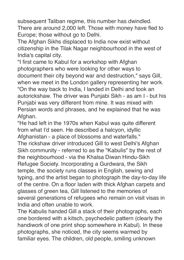subsequent Taliban regime, this number has dwindled. There are around 2,000 left. Those with money have fled to Europe; those without go to Delhi.

The Afghan Sikhs displaced to India now exist without citizenship in the Tilak Nagar neighbourhood in the west of India's capital city.

"I first came to Kabul for a workshop with Afghan photographers who were looking for other ways to document their city beyond war and destruction," says Gill, when we meet in the London gallery representing her work. "On the way back to India, I landed in Delhi and took an autorickshaw. The driver was Punjabi Sikh - as am I - but his Punjabi was very different from mine. It was mixed with Persian words and phrases, and he explained that he was Afghan.

"He had left in the 1970s when Kabul was quite different from what I'd seen. He described a halcyon, idyllic Afghanistan - a place of blossoms and waterfalls." The rickshaw driver introduced Gill to west Delhi's Afghan Sikh community - referred to as the "Kabulis" by the rest of the neighbourhood - via the Khalsa Diwan Hindu-Sikh Refugee Society. Incorporating a Gurdwara, the Sikh temple, the society runs classes in English, sewing and typing, and the artist began to photograph the day-to-day life of the centre. On a floor laden with thick Afghan carpets and glasses of green tea, Gill listened to the memories of several generations of refugees who remain on visit visas in India and often unable to work.

The Kabulis handed Gill a stack of their photographs, each one bordered with a kitsch, psychedelic pattern (clearly the handiwork of one print shop somewhere in Kabul). In these photographs, she noticed, the city seems warmed by familiar eyes. The children, old people, smiling unknown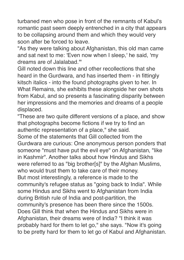turbaned men who pose in front of the remnants of Kabul's romantic past seem deeply entrenched in a city that appears to be collapsing around them and which they would very soon after be forced to leave.

"As they were talking about Afghanistan, this old man came and sat next to me: 'Even now when I sleep,' he said, 'my dreams are of Jalalabad.'"

Gill noted down this line and other recollections that she heard in the Gurdwara, and has inserted them - in fittingly kitsch italics - into the found photographs given to her. In What Remains, she exhibits these alongside her own shots from Kabul, and so presents a fascinating disparity between her impressions and the memories and dreams of a people displaced.

"These are two quite different versions of a place, and show that photographs become fictions if we try to find an authentic representation of a place," she said.

Some of the statements that Gill collected from the Gurdwara are curious: One anonymous person ponders that someone "must have put the evil eye" on Afghanistan, "like in Kashmir". Another talks about how Hindus and Sikhs were referred to as "big brother[s]" by the Afghan Muslims, who would trust them to take care of their money. But most interestingly, a reference is made to the community's refugee status as "going back to India". While some Hindus and Sikhs went to Afghanistan from India during British rule of India and post-partition, the community's presence has been there since the 1500s. Does Gill think that when the Hindus and Sikhs were in Afghanistan, their dreams were of India? "I think it was probably hard for them to let go," she says. "Now it's going to be pretty hard for them to let go of Kabul and Afghanistan.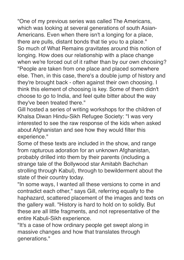"One of my previous series was called The Americans, which was looking at several generations of south Asian-Americans. Even when there isn't a longing for a place, there are pulls, distant bonds that tie you to a place." So much of What Remains gravitates around this notion of longing. How does our relationship with a place change when we're forced out of it rather than by our own choosing? "People are taken from one place and placed somewhere else. Then, in this case, there's a double jump of history and they're brought back - often against their own choosing. I think this element of choosing is key. Some of them didn't choose to go to India, and feel quite bitter about the way they've been treated there."

Gill hosted a series of writing workshops for the children of Khalsa Diwan Hindu-Sikh Refugee Society: "I was very interested to see the raw response of the kids when asked about Afghanistan and see how they would filter this experience."

Some of these texts are included in the show, and range from rapturous adoration for an unknown Afghanistan, probably drilled into them by their parents (including a strange tale of the Bollywood star Amitabh Bachchan strolling through Kabul), through to bewilderment about the state of their country today.

"In some ways, I wanted all these versions to come in and contradict each other," says Gill, referring equally to the haphazard, scattered placement of the images and texts on the gallery wall. "History is hard to hold on to solidly. But these are all little fragments, and not representative of the entire Kabuli-Sikh experience.

"It's a case of how ordinary people get swept along in massive changes and how that translates through generations."